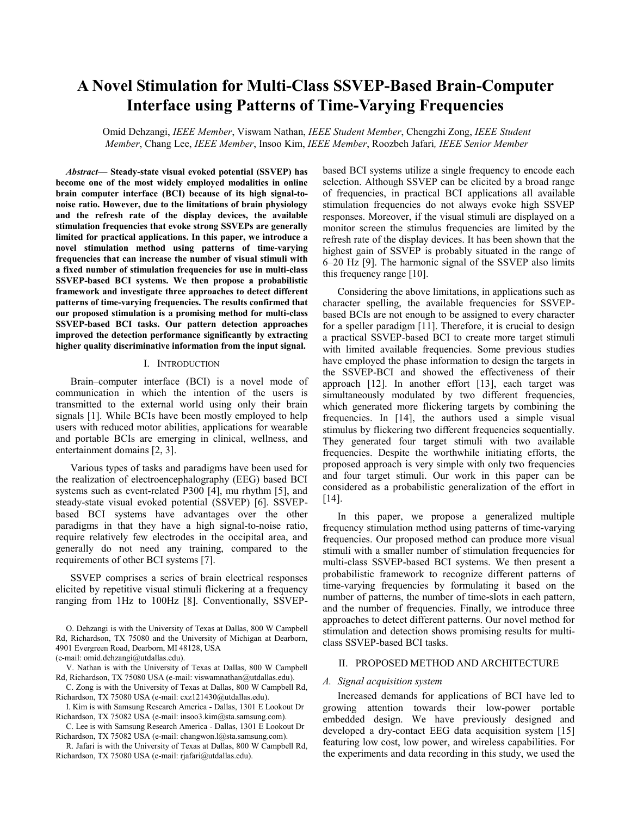# **A Novel Stimulation for Multi-Class SSVEP-Based Brain-Computer Interface using Patterns of Time-Varying Frequencies**

Omid Dehzangi, *IEEE Member*, Viswam Nathan, *IEEE Student Member*, Chengzhi Zong, *IEEE Student Member*, Chang Lee, *IEEE Member*, Insoo Kim, *IEEE Member*, Roozbeh Jafari*, IEEE Senior Member*

*Abstract***— Steady-state visual evoked potential (SSVEP) has become one of the most widely employed modalities in online brain computer interface (BCI) because of its high signal-tonoise ratio. However, due to the limitations of brain physiology and the refresh rate of the display devices, the available stimulation frequencies that evoke strong SSVEPs are generally limited for practical applications. In this paper, we introduce a novel stimulation method using patterns of time-varying frequencies that can increase the number of visual stimuli with a fixed number of stimulation frequencies for use in multi-class SSVEP-based BCI systems. We then propose a probabilistic framework and investigate three approaches to detect different patterns of time-varying frequencies. The results confirmed that our proposed stimulation is a promising method for multi-class SSVEP-based BCI tasks. Our pattern detection approaches improved the detection performance significantly by extracting higher quality discriminative information from the input signal.**

### I. INTRODUCTION

Brain–computer interface (BCI) is a novel mode of communication in which the intention of the users is transmitted to the external world using only their brain signals [1]. While BCIs have been mostly employed to help users with reduced motor abilities, applications for wearable and portable BCIs are emerging in clinical, wellness, and entertainment domains [2, 3].

Various types of tasks and paradigms have been used for the realization of electroencephalography (EEG) based BCI systems such as event-related P300 [4], mu rhythm [5], and steady-state visual evoked potential (SSVEP) [6]. SSVEPbased BCI systems have advantages over the other paradigms in that they have a high signal-to-noise ratio, require relatively few electrodes in the occipital area, and generally do not need any training, compared to the requirements of other BCI systems [7].

SSVEP comprises a series of brain electrical responses elicited by repetitive visual stimuli flickering at a frequency ranging from 1Hz to 100Hz [8]. Conventionally, SSVEP-

O. Dehzangi is with the University of Texas at Dallas, 800 W Campbell Rd, Richardson, TX 75080 and the University of Michigan at Dearborn, 4901 Evergreen Road, Dearborn, MI 48128, USA (e-mail: omid.dehzangi@utdallas.edu).

V. Nathan is with the University of Texas at Dallas, 800 W Campbell Rd, Richardson, TX 75080 USA (e-mail: viswamnathan@utdallas.edu).

C. Zong is with the University of Texas at Dallas, 800 W Campbell Rd, Richardson, TX 75080 USA (e-mail: cxz121430@utdallas.edu).

I. Kim is with Samsung Research America - Dallas, 1301 E Lookout Dr Richardson, TX 75082 USA (e-mail: insoo3.kim@sta.samsung.com).

C. Lee is with Samsung Research America - Dallas, 1301 E Lookout Dr Richardson, TX 75082 USA (e-mail: changwon.l@sta.samsung.com).

R. Jafari is with the University of Texas at Dallas, 800 W Campbell Rd, Richardson, TX 75080 USA (e-mail: rjafari@utdallas.edu).

based BCI systems utilize a single frequency to encode each selection. Although SSVEP can be elicited by a broad range of frequencies, in practical BCI applications all available stimulation frequencies do not always evoke high SSVEP responses. Moreover, if the visual stimuli are displayed on a monitor screen the stimulus frequencies are limited by the refresh rate of the display devices. It has been shown that the highest gain of SSVEP is probably situated in the range of 6–20 Hz [9]. The harmonic signal of the SSVEP also limits this frequency range [10].

Considering the above limitations, in applications such as character spelling, the available frequencies for SSVEPbased BCIs are not enough to be assigned to every character for a speller paradigm [11]. Therefore, it is crucial to design a practical SSVEP-based BCI to create more target stimuli with limited available frequencies. Some previous studies have employed the phase information to design the targets in the SSVEP-BCI and showed the effectiveness of their approach [12]. In another effort [13], each target was simultaneously modulated by two different frequencies, which generated more flickering targets by combining the frequencies. In [14], the authors used a simple visual stimulus by flickering two different frequencies sequentially. They generated four target stimuli with two available frequencies. Despite the worthwhile initiating efforts, the proposed approach is very simple with only two frequencies and four target stimuli. Our work in this paper can be considered as a probabilistic generalization of the effort in [14].

In this paper, we propose a generalized multiple frequency stimulation method using patterns of time-varying frequencies. Our proposed method can produce more visual stimuli with a smaller number of stimulation frequencies for multi-class SSVEP-based BCI systems. We then present a probabilistic framework to recognize different patterns of time-varying frequencies by formulating it based on the number of patterns, the number of time-slots in each pattern, and the number of frequencies. Finally, we introduce three approaches to detect different patterns. Our novel method for stimulation and detection shows promising results for multiclass SSVEP-based BCI tasks.

### II. PROPOSED METHOD AND ARCHITECTURE

#### *A. Signal acquisition system*

Increased demands for applications of BCI have led to growing attention towards their low-power portable embedded design. We have previously designed and developed a dry-contact EEG data acquisition system [15] featuring low cost, low power, and wireless capabilities. For the experiments and data recording in this study, we used the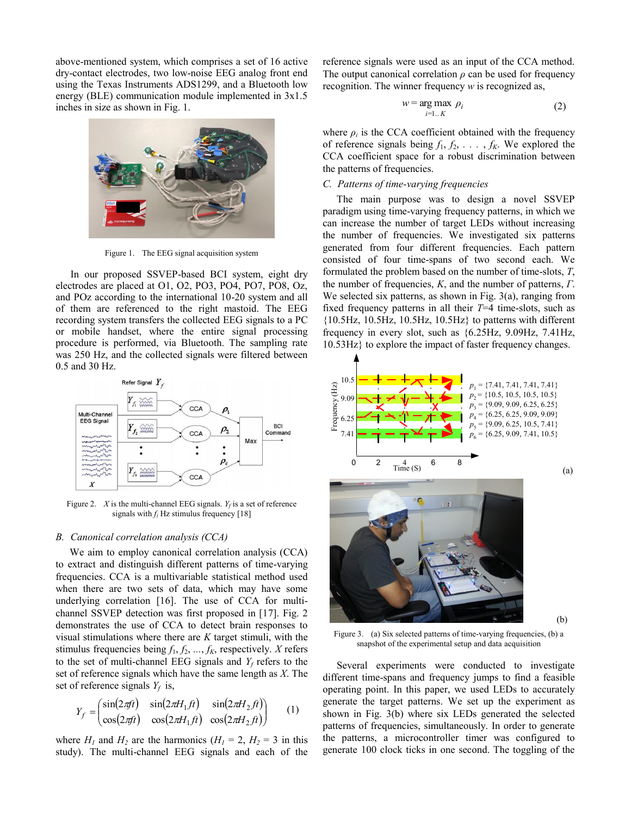above-mentioned system, which comprises a set of 16 active dry-contact electrodes, two low-noise EEG analog front end using the Texas Instruments ADS1299, and a Bluetooth low energy (BLE) communication module implemented in 3x1.5 inches in size as shown in Fig. 1.



Figure 1. The EEG signal acquisition system

In our proposed SSVEP-based BCI system, eight dry electrodes are placed at O1, O2, PO3, PO4, PO7, PO8, Oz, and POz according to the international 10-20 system and all of them are referenced to the right mastoid. The EEG recording system transfers the collected EEG signals to a PC or mobile handset, where the entire signal processing procedure is performed, via Bluetooth. The sampling rate was 250 Hz, and the collected signals were filtered between 0.5 and 30 Hz.



Figure 2. *X* is the multi-channel EEG signals.  $Y_f$  is a set of reference signals with  $f_i$  Hz stimulus frequency [18]

#### *B. Canonical correlation analysis (CCA)*

We aim to employ canonical correlation analysis (CCA) to extract and distinguish different patterns of time-varying frequencies. CCA is a multivariable statistical method used when there are two sets of data, which may have some underlying correlation [16]. The use of CCA for multichannel SSVEP detection was first proposed in [17]. Fig. 2 demonstrates the use of CCA to detect brain responses to visual stimulations where there are *K* target stimuli, with the stimulus frequencies being  $f_1, f_2, ..., f_K$ , respectively. *X* refers to the set of multi-channel EEG signals and  $Y_f$  refers to the set of reference signals which have the same length as *X*. The set of reference signals  $Y_f$  is,

$$
Y_f = \begin{pmatrix} \sin(2\pi ft) & \sin(2\pi H_1 ft) & \sin(2\pi H_2 ft) \\ \cos(2\pi ft) & \cos(2\pi H_1 ft) & \cos(2\pi H_2 ft) \end{pmatrix} \tag{1}
$$

where  $H_1$  and  $H_2$  are the harmonics ( $H_1 = 2$ ,  $H_2 = 3$  in this study). The multi-channel EEG signals and each of the reference signals were used as an input of the CCA method. The output canonical correlation *ρ* can be used for frequency recognition. The winner frequency *w* is recognized as,

$$
w = \underset{i=1..K}{\arg \max} \rho_i \tag{2}
$$

where  $\rho_i$  is the CCA coefficient obtained with the frequency of reference signals being  $f_1, f_2, \ldots, f_k$ . We explored the CCA coefficient space for a robust discrimination between the patterns of frequencies.

# *C. Patterns of time-varying frequencies*

The main purpose was to design a novel SSVEP paradigm using time-varying frequency patterns, in which we can increase the number of target LEDs without increasing the number of frequencies. We investigated six patterns generated from four different frequencies. Each pattern consisted of four time-spans of two second each. We formulated the problem based on the number of time-slots, *T*, the number of frequencies, *K*, and the number of patterns, *Γ*. We selected six patterns, as shown in Fig. 3(a), ranging from fixed frequency patterns in all their *T*=4 time-slots, such as  ${10.5Hz}$ ,  $10.5Hz$ ,  $10.5Hz$ ,  $10.5Hz$ } to patterns with different frequency in every slot, such as {6.25Hz, 9.09Hz, 7.41Hz, 10.53Hz} to explore the impact of faster frequency changes.



Figure 3. (a) Six selected patterns of time-varying frequencies, (b) a snapshot of the experimental setup and data acquisition

Several experiments were conducted to investigate different time-spans and frequency jumps to find a feasible operating point. In this paper, we used LEDs to accurately generate the target patterns. We set up the experiment as shown in Fig. 3(b) where six LEDs generated the selected patterns of frequencies, simultaneously. In order to generate the patterns, a microcontroller timer was configured to generate 100 clock ticks in one second. The toggling of the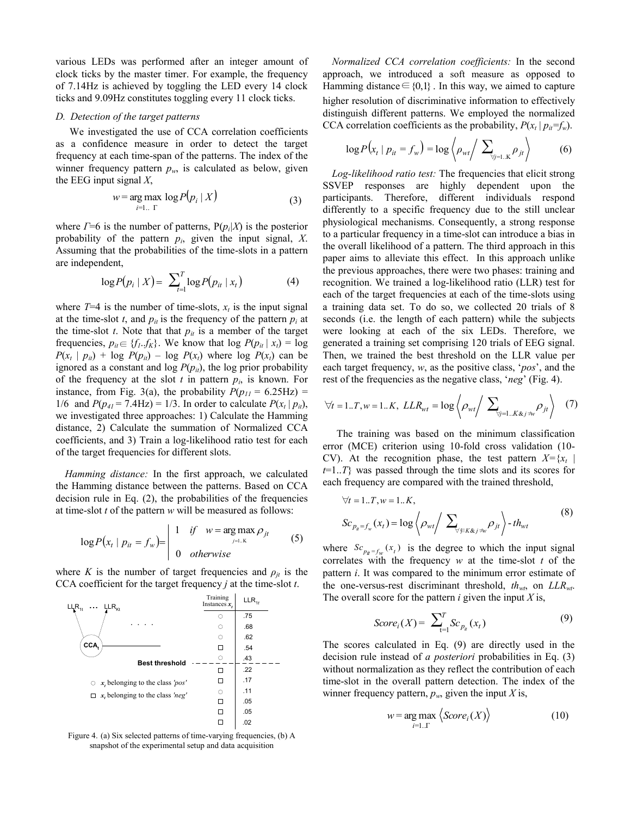various LEDs was performed after an integer amount of clock ticks by the master timer. For example, the frequency of 7.14Hz is achieved by toggling the LED every 14 clock ticks and 9.09Hz constitutes toggling every 11 clock ticks.

#### *D. Detection of the target patterns*

We investigated the use of CCA correlation coefficients as a confidence measure in order to detect the target frequency at each time-span of the patterns. The index of the winner frequency pattern  $p_w$ , is calculated as below, given the EEG input signal *X*,

$$
w = \underset{i=1..}{}{\arg\max} \log P(p_i \mid X) \tag{3}
$$

where  $\Gamma = 6$  is the number of patterns,  $P(p_i|X)$  is the posterior probability of the pattern  $p_i$ , given the input signal,  $X$ . Assuming that the probabilities of the time-slots in a pattern are independent,

$$
\log P(p_i \mid X) = \sum_{t=1}^{T} \log P(p_{it} \mid x_t)
$$
 (4)

where  $T=4$  is the number of time-slots,  $x_t$  is the input signal at the time-slot *t*, and  $p_{it}$  is the frequency of the pattern  $p_i$  at the time-slot  $t$ . Note that that  $p_{it}$  is a member of the target frequencies,  $p_{it} \in \{f_l..f_K\}$ . We know that  $\log P(p_{it} | x_t) = \log$  $P(x_t | p_{it}) + \log P(p_{it}) - \log P(x_t)$  where  $\log P(x_t)$  can be ignored as a constant and log  $P(p_{it})$ , the log prior probability of the frequency at the slot  $t$  in pattern  $p_i$ , is known. For instance, from Fig. 3(a), the probability  $P(p_{11} = 6.25 \text{Hz})$  = 1/6 and  $P(p_{41} = 7.4 \text{ Hz}) = 1/3$ . In order to calculate  $P(x_t | p_{it})$ , we investigated three approaches: 1) Calculate the Hamming distance, 2) Calculate the summation of Normalized CCA coefficients, and 3) Train a log-likelihood ratio test for each of the target frequencies for different slots.

*Hamming distance:* In the first approach, we calculated the Hamming distance between the patterns. Based on CCA decision rule in Eq. (2), the probabilities of the frequencies at time-slot *t* of the pattern *w* will be measured as follows:

$$
\log P(x_t | p_{it} = f_w) = \begin{vmatrix} 1 & \text{if} & w = \arg \max_{j=1 \dots K} \rho_{jt} \\ 0 & \text{otherwise} \end{vmatrix}
$$
 (5)

where *K* is the number of target frequencies and  $\rho_{jt}$  is the CCA coefficient for the target frequency *j* at the time-slot *t*.



Figure 4. (a) Six selected patterns of time-varying frequencies, (b) A snapshot of the experimental setup and data acquisition

*Normalized CCA correlation coefficients:* In the second approach, we introduced a soft measure as opposed to Hamming distance  $\in \{0,1\}$ . In this way, we aimed to capture higher resolution of discriminative information to effectively distinguish different patterns. We employed the normalized CCA correlation coefficients as the probability,  $P(x_t | p_{it} = f_w)$ .

$$
\log P(x_t | p_{it} = f_w) = \log \left\langle \rho_{wt} \right\rangle \sum_{\forall j=1, \kappa} \rho_{jt} \right\rangle \tag{6}
$$

*Log-likelihood ratio test:* The frequencies that elicit strong SSVEP responses are highly dependent upon the participants. Therefore, different individuals respond differently to a specific frequency due to the still unclear physiological mechanisms. Consequently, a strong response to a particular frequency in a time-slot can introduce a bias in the overall likelihood of a pattern. The third approach in this paper aims to alleviate this effect. In this approach unlike the previous approaches, there were two phases: training and recognition. We trained a log-likelihood ratio (LLR) test for each of the target frequencies at each of the time-slots using a training data set. To do so, we collected 20 trials of 8 seconds (i.e. the length of each pattern) while the subjects were looking at each of the six LEDs. Therefore, we generated a training set comprising 120 trials of EEG signal. Then, we trained the best threshold on the LLR value per each target frequency, *w*, as the positive class, '*pos*', and the rest of the frequencies as the negative class, '*neg*' (Fig. 4).

$$
\forall t = 1..T, w = 1..K, LLR_{wt} = \log \left\langle \rho_{wt} \right\rangle \sum_{\forall j=1..K\&j \neq w} \rho_{jt} \right\} (7)
$$

The training was based on the minimum classification error (MCE) criterion using 10-fold cross validation (10- CV). At the recognition phase, the test pattern  $X = \{x_t | t \}$ *t*=1..*T*} was passed through the time slots and its scores for each frequency are compared with the trained threshold,

$$
\forall t = 1..T, w = 1..K,\nSc_{p_{it} = f_w}(x_t) = \log \left\langle \rho_{wt} / \sum_{\forall j \in K \& j \neq w} \rho_{jt} \right\rangle - th_{wt}
$$
\n(8)

where  $Sc_{p_{it}=f_w}(x_t)$  is the degree to which the input signal correlates with the frequency *w* at the time-slot *t* of the pattern *i*. It was compared to the minimum error estimate of the one-versus-rest discriminant threshold, *thwt*, on *LLRwt*. The overall score for the pattern *i* given the input *X* is,

$$
Score_i(X) = \sum_{t=1}^{T} Sc_{p_t}(x_t)
$$
\n(9)

The scores calculated in Eq. (9) are directly used in the decision rule instead of *a posteriori* probabilities in Eq. (3) without normalization as they reflect the contribution of each time-slot in the overall pattern detection. The index of the winner frequency pattern,  $p_w$ , given the input *X* is,

$$
w = \underset{i=1,\,\Gamma}{\arg\max} \left\langle Score_i(X) \right\rangle \tag{10}
$$